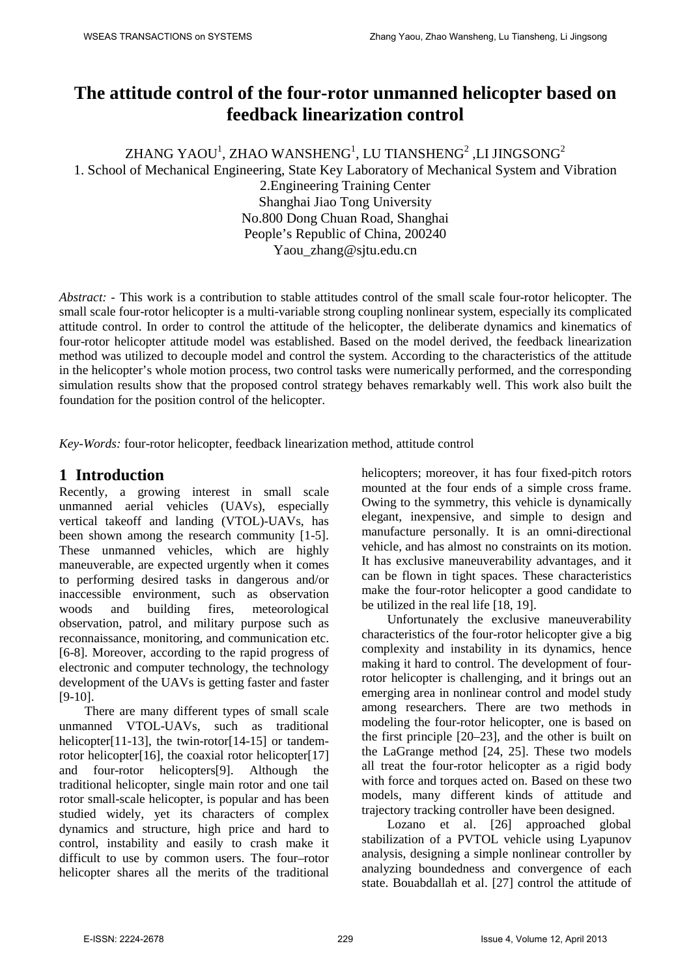# **The attitude control of the four-rotor unmanned helicopter based on feedback linearization control**

ZHANG YAOU $^{\rm l}$ , ZHAO WANSHENG $^{\rm l}$ , LU TIANSHENG $^{\rm 2}$  ,LI JINGSONG $^{\rm 2}$ 1. School of Mechanical Engineering, State Key Laboratory of Mechanical System and Vibration 2.Engineering Training Center Shanghai Jiao Tong University No.800 Dong Chuan Road, Shanghai People's Republic of China, 200240

Yaou\_zhang@sjtu.edu.cn

*Abstract: -* This work is a contribution to stable attitudes control of the small scale four-rotor helicopter. The small scale four-rotor helicopter is a multi-variable strong coupling nonlinear system, especially its complicated attitude control. In order to control the attitude of the helicopter, the deliberate dynamics and kinematics of four-rotor helicopter attitude model was established. Based on the model derived, the feedback linearization method was utilized to decouple model and control the system. According to the characteristics of the attitude in the helicopter's whole motion process, two control tasks were numerically performed, and the corresponding simulation results show that the proposed control strategy behaves remarkably well. This work also built the foundation for the position control of the helicopter.

*Key-Words:* four-rotor helicopter, feedback linearization method, attitude control

# **1 Introduction**

Recently, a growing interest in small scale unmanned aerial vehicles (UAVs), especially vertical takeoff and landing (VTOL)-UAVs, has been shown among the research community [1-5]. These unmanned vehicles, which are highly maneuverable, are expected urgently when it comes to performing desired tasks in dangerous and/or inaccessible environment, such as observation woods and building fires, meteorological observation, patrol, and military purpose such as reconnaissance, monitoring, and communication etc. [6-8]. Moreover, according to the rapid progress of electronic and computer technology, the technology development of the UAVs is getting faster and faster [9-10].

There are many different types of small scale unmanned VTOL-UAVs, such as traditional helicopter[11-13], the twin-rotor[14-15] or tandemrotor helicopter[16], the coaxial rotor helicopter[17] and four-rotor helicopters[9]. Although the traditional helicopter, single main rotor and one tail rotor small-scale helicopter, is popular and has been studied widely, yet its characters of complex dynamics and structure, high price and hard to control, instability and easily to crash make it difficult to use by common users. The four–rotor helicopter shares all the merits of the traditional helicopters; moreover, it has four fixed-pitch rotors mounted at the four ends of a simple cross frame. Owing to the symmetry, this vehicle is dynamically elegant, inexpensive, and simple to design and manufacture personally. It is an omni-directional vehicle, and has almost no constraints on its motion. It has exclusive maneuverability advantages, and it can be flown in tight spaces. These characteristics make the four-rotor helicopter a good candidate to be utilized in the real life [18, 19].

Unfortunately the exclusive maneuverability characteristics of the four-rotor helicopter give a big complexity and instability in its dynamics, hence making it hard to control. The development of fourrotor helicopter is challenging, and it brings out an emerging area in nonlinear control and model study among researchers. There are two methods in modeling the four-rotor helicopter, one is based on the first principle [20–23], and the other is built on the LaGrange method [24, 25]. These two models all treat the four-rotor helicopter as a rigid body with force and torques acted on. Based on these two models, many different kinds of attitude and trajectory tracking controller have been designed.

Lozano et al. [26] approached global stabilization of a PVTOL vehicle using Lyapunov analysis, designing a simple nonlinear controller by analyzing boundedness and convergence of each state. Bouabdallah et al. [27] control the attitude of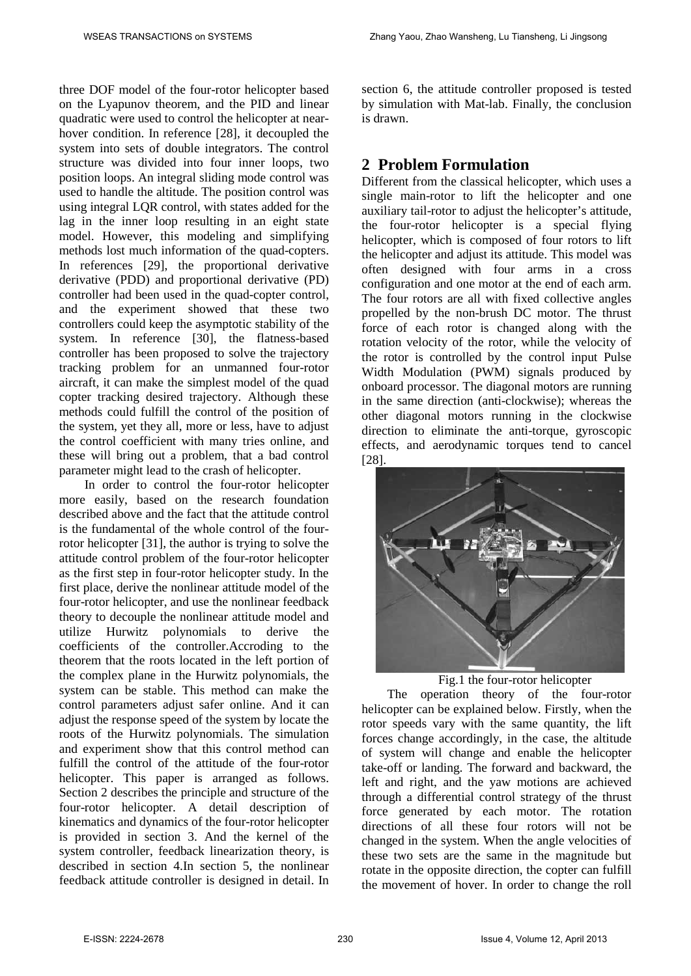three DOF model of the four-rotor helicopter based on the Lyapunov theorem, and the PID and linear quadratic were used to control the helicopter at nearhover condition. In reference [28], it decoupled the system into sets of double integrators. The control structure was divided into four inner loops, two position loops. An integral sliding mode control was used to handle the altitude. The position control was using integral LQR control, with states added for the lag in the inner loop resulting in an eight state model. However, this modeling and simplifying methods lost much information of the quad-copters. In references [29], the proportional derivative derivative (PDD) and proportional derivative (PD) controller had been used in the quad-copter control, and the experiment showed that these two controllers could keep the asymptotic stability of the system. In reference [30], the flatness-based controller has been proposed to solve the trajectory tracking problem for an unmanned four-rotor aircraft, it can make the simplest model of the quad copter tracking desired trajectory. Although these methods could fulfill the control of the position of the system, yet they all, more or less, have to adjust the control coefficient with many tries online, and these will bring out a problem, that a bad control parameter might lead to the crash of helicopter.

In order to control the four-rotor helicopter more easily, based on the research foundation described above and the fact that the attitude control is the fundamental of the whole control of the fourrotor helicopter [31], the author is trying to solve the attitude control problem of the four-rotor helicopter as the first step in four-rotor helicopter study. In the first place, derive the nonlinear attitude model of the four-rotor helicopter, and use the nonlinear feedback theory to decouple the nonlinear attitude model and utilize Hurwitz polynomials to derive the coefficients of the controller.Accroding to the theorem that the roots located in the left portion of the complex plane in the Hurwitz polynomials, the system can be stable. This method can make the control parameters adjust safer online. And it can adjust the response speed of the system by locate the roots of the Hurwitz polynomials. The simulation and experiment show that this control method can fulfill the control of the attitude of the four-rotor helicopter. This paper is arranged as follows. Section 2 describes the principle and structure of the four-rotor helicopter. A detail description of kinematics and dynamics of the four-rotor helicopter is provided in section 3. And the kernel of the system controller, feedback linearization theory, is described in section 4.In section 5, the nonlinear feedback attitude controller is designed in detail. In section 6, the attitude controller proposed is tested by simulation with Mat-lab. Finally, the conclusion is drawn.

# **2 Problem Formulation**

Different from the classical helicopter, which uses a single main-rotor to lift the helicopter and one auxiliary tail-rotor to adjust the helicopter's attitude, the four-rotor helicopter is a special flying helicopter, which is composed of four rotors to lift the helicopter and adjust its attitude. This model was often designed with four arms in a cross configuration and one motor at the end of each arm. The four rotors are all with fixed collective angles propelled by the non-brush DC motor. The thrust force of each rotor is changed along with the rotation velocity of the rotor, while the velocity of the rotor is controlled by the control input Pulse Width Modulation (PWM) signals produced by onboard processor. The diagonal motors are running in the same direction (anti-clockwise); whereas the other diagonal motors running in the clockwise direction to eliminate the anti-torque, gyroscopic effects, and aerodynamic torques tend to cancel [28].



Fig.1 the four-rotor helicopter

The operation theory of the four-rotor helicopter can be explained below. Firstly, when the rotor speeds vary with the same quantity, the lift forces change accordingly, in the case, the altitude of system will change and enable the helicopter take-off or landing. The forward and backward, the left and right, and the yaw motions are achieved through a differential control strategy of the thrust force generated by each motor. The rotation directions of all these four rotors will not be changed in the system. When the angle velocities of these two sets are the same in the magnitude but rotate in the opposite direction, the copter can fulfill the movement of hover. In order to change the roll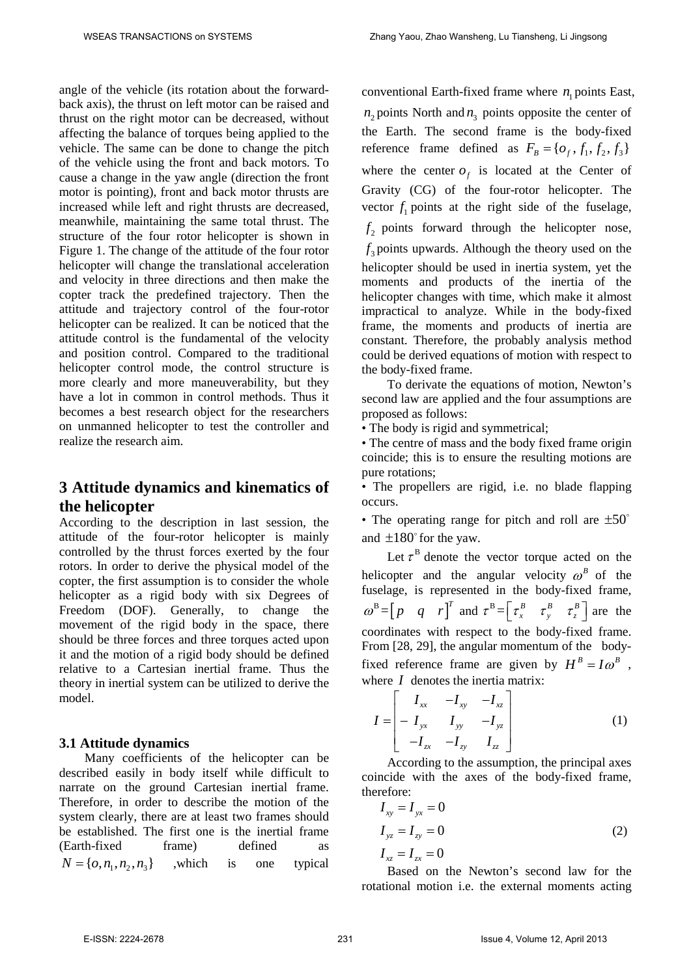angle of the vehicle (its rotation about the forwardback axis), the thrust on left motor can be raised and thrust on the right motor can be decreased, without affecting the balance of torques being applied to the vehicle. The same can be done to change the pitch of the vehicle using the front and back motors. To cause a change in the yaw angle (direction the front motor is pointing), front and back motor thrusts are increased while left and right thrusts are decreased, meanwhile, maintaining the same total thrust. The structure of the four rotor helicopter is shown in Figure 1. The change of the attitude of the four rotor helicopter will change the translational acceleration and velocity in three directions and then make the copter track the predefined trajectory. Then the attitude and trajectory control of the four-rotor helicopter can be realized. It can be noticed that the attitude control is the fundamental of the velocity and position control. Compared to the traditional helicopter control mode, the control structure is more clearly and more maneuverability, but they have a lot in common in control methods. Thus it becomes a best research object for the researchers on unmanned helicopter to test the controller and realize the research aim.

# **3 Attitude dynamics and kinematics of the helicopter**

According to the description in last session, the attitude of the four-rotor helicopter is mainly controlled by the thrust forces exerted by the four rotors. In order to derive the physical model of the copter, the first assumption is to consider the whole helicopter as a rigid body with six Degrees of Freedom (DOF). Generally, to change the movement of the rigid body in the space, there should be three forces and three torques acted upon it and the motion of a rigid body should be defined relative to a Cartesian inertial frame. Thus the theory in inertial system can be utilized to derive the model.

#### **3.1 Attitude dynamics**

Many coefficients of the helicopter can be described easily in body itself while difficult to narrate on the ground Cartesian inertial frame. Therefore, in order to describe the motion of the system clearly, there are at least two frames should be established. The first one is the inertial frame (Earth-fixed frame) defined as  $N = \{o, n_1, n_2, n_3\}$  which is one typical

conventional Earth-fixed frame where  $n_1$  points East,  $n_2$  points North and  $n_3$  points opposite the center of the Earth. The second frame is the body-fixed reference frame defined as  $F_B = \{O_f, f_1, f_2, f_3\}$ where the center  $o<sub>f</sub>$  is located at the Center of Gravity (CG) of the four-rotor helicopter. The vector  $f_1$  points at the right side of the fuselage,  $f<sub>2</sub>$  points forward through the helicopter nose,  $f_3$  points upwards. Although the theory used on the helicopter should be used in inertia system, yet the moments and products of the inertia of the helicopter changes with time, which make it almost impractical to analyze. While in the body-fixed frame, the moments and products of inertia are constant. Therefore, the probably analysis method could be derived equations of motion with respect to the body-fixed frame.

To derivate the equations of motion, Newton's second law are applied and the four assumptions are proposed as follows:

• The body is rigid and symmetrical;

• The centre of mass and the body fixed frame origin coincide; this is to ensure the resulting motions are pure rotations;

• The propellers are rigid, i.e. no blade flapping occurs.

• The operating range for pitch and roll are  $\pm 50^{\circ}$ and  $\pm 180^\circ$  for the yaw.

Let  $\tau^B$  denote the vector torque acted on the helicopter and the angular velocity  $\omega^B$  of the fuselage, is represented in the body-fixed frame,  $\omega^B = [p \ q \ r]^T$  and  $\tau^B = [\tau_x^B \ \tau_y^B \ \tau_z^B]$  are the coordinates with respect to the body-fixed frame. From [28, 29], the angular momentum of the bodyfixed reference frame are given by  $H^B = I\omega^B$ , where *I* denotes the inertia matrix:

$$
I = \begin{bmatrix} I_{xx} & -I_{xy} & -I_{xz} \\ -I_{yx} & I_{yy} & -I_{yz} \\ -I_{zx} & -I_{zy} & I_{zz} \end{bmatrix}
$$
 (1)

According to the assumption, the principal axes coincide with the axes of the body-fixed frame, therefore:

$$
I_{xy} = I_{yx} = 0
$$
  
\n
$$
I_{yz} = I_{zy} = 0
$$
  
\n
$$
I_{xz} = I_{zx} = 0
$$
\n(2)

Based on the Newton's second law for the rotational motion i.e. the external moments acting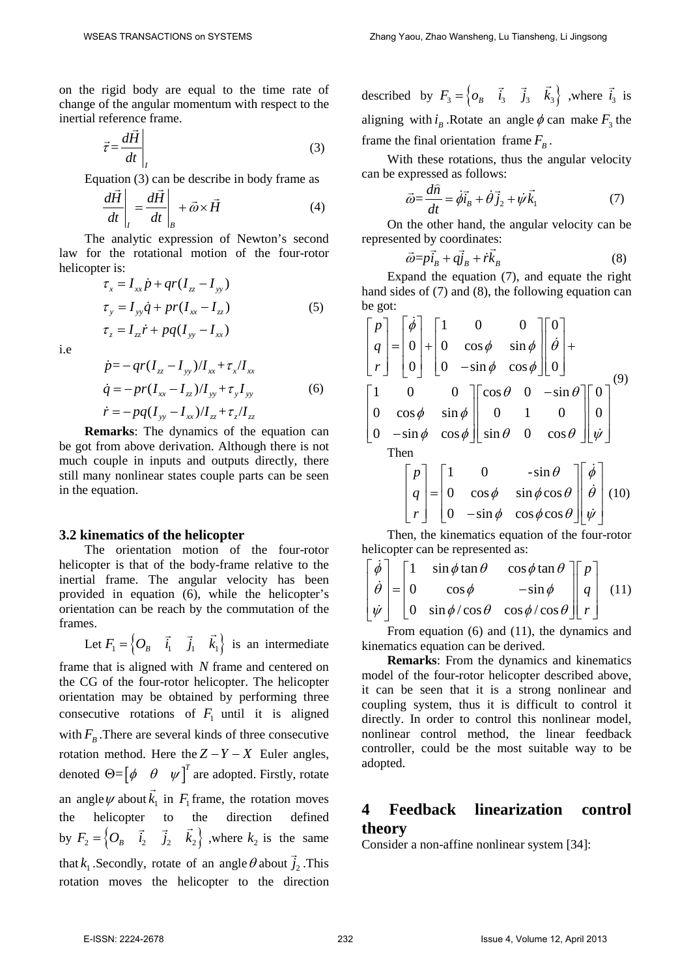on the rigid body are equal to the time rate of change of the angular momentum with respect to the inertial reference frame.

$$
\vec{\tau} = \frac{d\vec{H}}{dt}\bigg|_{I} \tag{3}
$$

Equation (3) can be describe in body frame as\n
$$
\frac{d\vec{H}}{dt}\bigg|_{I} = \frac{d\vec{H}}{dt}\bigg|_{B} + \vec{\omega} \times \vec{H}
$$
\n(4)

The analytic expression of Newton's second law for the rotational motion of the four-rotor helicopter is:

$$
\tau_x = I_{xx} \dot{p} + qr(I_{zz} - I_{yy})
$$
  
\n
$$
\tau_y = I_{yy} \dot{q} + pr(I_{xx} - I_{zz})
$$
  
\n
$$
\tau_z = I_{zz} \dot{r} + pq(I_{yy} - I_{xx})
$$
\n(5)

i.e

$$
\dot{p} = -qr(I_{zz} - I_{yy})/I_{xx} + \tau_x/I_{xx}
$$
\n
$$
\dot{q} = -pr(I_{xx} - I_{zz})/I_{yy} + \tau_y I_{yy}
$$
\n(6)

 $\dot{r} = -pq(I_{yy} - I_{xx})/I_{zz} + \tau_z/I_{zz}$ 

**Remarks:** The dynamics of the equation can be got from above derivation. Although there is not much couple in inputs and outputs directly, there still many nonlinear states couple parts can be seen in the equation.

#### **3.2 kinematics of the helicopter**

The orientation motion of the four-rotor helicopter is that of the body-frame relative to the inertial frame. The angular velocity has been provided in equation (6), while the helicopter's orientation can be reach by the commutation of the frames.

Let  $F_1 = \begin{cases} Q_B & \vec{i}_1 & \vec{j}_1 & \vec{k}_1 \end{cases}$  is an intermediate

frame that is aligned with *N* frame and centered on the CG of the four-rotor helicopter. The helicopter orientation may be obtained by performing three consecutive rotations of  $F_1$  until it is aligned with  $F_B$ . There are several kinds of three consecutive rotation method. Here the  $Z - Y - X$  Euler angles, denoted  $\Theta = [\phi \quad \theta \quad \psi]^T$  are adopted. Firstly, rotate an angle  $\psi$  about  $k_1$  $\overline{a}$ in  $F_1$  frame, the rotation moves the helicopter to the direction defined by  $F_2 = \begin{cases} O_B & \vec{i}_2 & \vec{j}_2 & \vec{k}_2 \end{cases}$ , where  $k_2$  is the same that  $k_1$ . Secondly, rotate of an angle  $\theta$  about  $\vec{j}_2$ . This rotation moves the helicopter to the direction

described by  $F_3 = \begin{cases} o_B & \vec{i}_3 & \vec{j}_3 & \vec{k}_3 \end{cases}$ , where  $\vec{i}_3$  is aligning with  $i<sub>n</sub>$ . Rotate an angle  $\phi$  can make  $F<sub>3</sub>$  the frame the final orientation frame  $F_B$ .

With these rotations, thus the angular velocity can be expressed as follows:

$$
\vec{\omega} = \frac{d\hat{n}}{dt} = \dot{\phi}\vec{i}_B + \dot{\theta}\vec{j}_2 + \dot{\psi}\vec{k}_1
$$
 (7)

On the other hand, the angular velocity can be represented by coordinates:

$$
\vec{\omega} = p\vec{i}_B + q\vec{j}_B + r\vec{k}_B
$$
 (8)

Expand the equation (7), and equate the right hand sides of (7) and (8), the following equation can be got:

$$
\begin{bmatrix} p \\ q \\ r \end{bmatrix} = \begin{bmatrix} \dot{\phi} \\ 0 \\ 0 \end{bmatrix} + \begin{bmatrix} 1 & 0 & 0 \\ 0 & \cos \phi & \sin \phi \\ 0 & -\sin \phi & \cos \phi \end{bmatrix} \begin{bmatrix} 0 \\ \dot{\theta} \\ 0 \end{bmatrix} + \begin{bmatrix} 1 & 0 & 0 \\ 0 & -\sin \phi & \cos \phi \end{bmatrix} \begin{bmatrix} \cos \theta & 0 & -\sin \theta \\ 0 & 1 & 0 \\ 0 & -\sin \phi & \cos \phi \end{bmatrix} \begin{bmatrix} 0 \\ 0 \\ \dot{\psi} \end{bmatrix}^{(9)}
$$
  
Then  

$$
\begin{bmatrix} p \\ q \\ r \end{bmatrix} = \begin{bmatrix} 1 & 0 & -\sin \theta \\ 0 & \cos \phi & \sin \phi \cos \theta \\ 0 & -\sin \phi & \cos \phi \cos \theta \end{bmatrix} \begin{bmatrix} \dot{\phi} \\ \dot{\theta} \\ \dot{\psi} \end{bmatrix} (10)
$$

Then, the kinematics equation of the four-rotor helicopter can be represented as:

$$
\begin{bmatrix} \dot{\phi} \\ \dot{\theta} \\ \dot{\psi} \end{bmatrix} = \begin{bmatrix} 1 & \sin \phi \tan \theta & \cos \phi \tan \theta \\ 0 & \cos \phi & -\sin \phi \\ 0 & \sin \phi / \cos \theta & \cos \phi / \cos \theta \end{bmatrix} \begin{bmatrix} p \\ q \\ r \end{bmatrix}
$$
 (11)

From equation (6) and (11), the dynamics and kinematics equation can be derived.

**Remarks**: From the dynamics and kinematics model of the four-rotor helicopter described above, it can be seen that it is a strong nonlinear and coupling system, thus it is difficult to control it directly. In order to control this nonlinear model, nonlinear control method, the linear feedback controller, could be the most suitable way to be adopted.

# **4 Feedback linearization control theory**

Consider a non-affine nonlinear system [34]: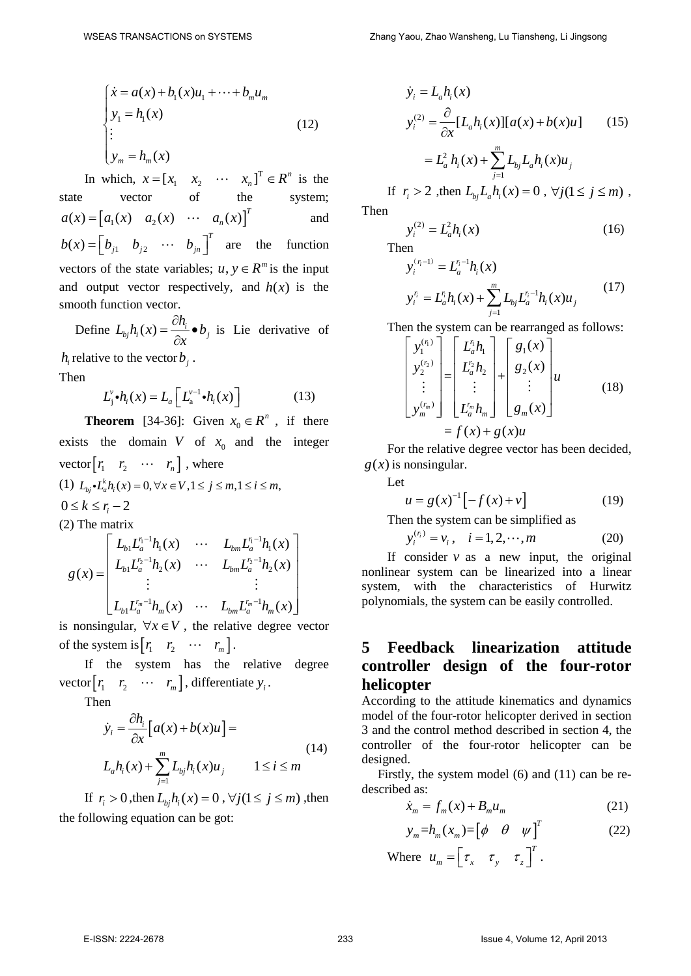$$
\begin{cases}\n\dot{x} = a(x) + b_1(x)u_1 + \dots + b_m u_m \\
y_1 = h_1(x) \\
\vdots \\
y_m = h_m(x)\n\end{cases}
$$
\n(12)

In which,  $x = \begin{bmatrix} x_1 & x_2 & \cdots & x_n \end{bmatrix}^T \in R^n$  is the state vector of the system;  $a(x) = [a_1(x) \quad a_2(x) \quad \cdots \quad a_n(x)]^T$  and  $b(x) = \begin{bmatrix} b_{j1} & b_{j2} & \cdots & b_{jn} \end{bmatrix}^T$  are the function vectors of the state variables;  $u, y \in R^m$  is the input and output vector respectively, and  $h(x)$  is the smooth function vector.

Define  $L_{bj}h_i(x) = \frac{\partial h_i}{\partial x} \bullet b_j$  $=\frac{\partial h_i}{\partial x}$   $\bullet$ is Lie derivative of

 $h_i$  relative to the vector  $b_i$ .

Then

$$
L_j^{\nu} \bullet h_i(x) = L_a \left[ L_a^{\nu-1} \bullet h_i(x) \right] \tag{13}
$$

**Theorem** [34-36]: Given  $x_0 \in R^n$ , if there exists the domain *V* of  $x_0$  and the integer vector $\begin{bmatrix} r_1 & r_2 & \cdots & r_n \end{bmatrix}$ , where (1)  $L_{bi} \cdot L_{a}^{k} h_{i}(x) = 0, \forall x \in V, 1 \leq j \leq m, 1 \leq i \leq m,$  $0 \leq k \leq r_i - 2$ (2) The matrix

$$
g(x) = \begin{bmatrix} L_{b1}L_a^{r_1-1}h_1(x) & \cdots & L_{bm}L_a^{r_1-1}h_1(x) \\ L_{b1}L_a^{r_2-1}h_2(x) & \cdots & L_{bm}L_a^{r_2-1}h_2(x) \\ \vdots & & \vdots \\ L_{b1}L_a^{r_m-1}h_m(x) & \cdots & L_{bm}L_a^{r_m-1}h_m(x) \end{bmatrix}
$$

is nonsingular,  $\forall x \in V$ , the relative degree vector of the system is  $\begin{bmatrix} r_1 & r_2 & \cdots & r_m \end{bmatrix}$ .

If the system has the relative degree vector $[r_1 \quad r_2 \quad \cdots \quad r_m]$ , differentiate  $y_i$ .

Then

$$
\dot{y}_i = \frac{\partial h_i}{\partial x} \Big[ a(x) + b(x)u \Big] =
$$
\n
$$
L_a h_i(x) + \sum_{j=1}^m L_{bj} h_i(x)u_j \qquad 1 \le i \le m
$$
\n(14)

If  $r_i > 0$ , then  $L_{hi} h_i(x) = 0$ ,  $\forall j (1 \le j \le m)$ , then the following equation can be got:

$$
\dot{y}_i = L_a h_i(x)
$$
\n
$$
y_i^{(2)} = \frac{\partial}{\partial x} [L_a h_i(x)][a(x) + b(x)u] \qquad (15)
$$
\n
$$
= L_a^2 h_i(x) + \sum_{j=1}^m L_{bj} L_a h_i(x)u_j
$$
\nIf  $r_i > 2$ , then  $L_{bj} L_a h_i(x) = 0$ ,  $\forall j (1 \le j \le m)$ ,

Then

$$
y_i^{(2)} = L_a^2 h_i(x)
$$
 (16)

Then

$$
y_i^{(r_i-1)} = L_a^{r_i-1} h_i(x)
$$
  

$$
y_i^{r_i} = L_a^{r_i} h_i(x) + \sum_{j=1}^m L_{bj} L_a^{r_i-1} h_i(x) u_j
$$
 (17)

Then the system can be rearranged as follows:

$$
\begin{bmatrix} y_1^{(r_1)} \\ y_2^{(r_2)} \\ \vdots \\ y_m^{(r_m)} \end{bmatrix} = \begin{bmatrix} L_a^r h_1 \\ L_a^r h_2 \\ \vdots \\ L_a^r h_m \end{bmatrix} + \begin{bmatrix} g_1(x) \\ g_2(x) \\ \vdots \\ g_m(x) \end{bmatrix} u \qquad (18)
$$

$$
= f(x) + g(x)u
$$

For the relative degree vector has been decided,  $g(x)$  is nonsingular.

Let

$$
u = g(x)^{-1} \left[ -f(x) + v \right] \tag{19}
$$

Then the system can be simplified as

$$
y_i^{(\eta)} = v_i, \quad i = 1, 2, \cdots, m \tag{20}
$$

If consider  $v$  as a new input, the original nonlinear system can be linearized into a linear system, with the characteristics of Hurwitz polynomials, the system can be easily controlled.

# **5 Feedback linearization attitude controller design of the four-rotor helicopter**

According to the attitude kinematics and dynamics model of the four-rotor helicopter derived in section 3 and the control method described in section 4, the controller of the four-rotor helicopter can be designed.

 Firstly, the system model (6) and (11) can be redescribed as:

$$
\dot{x}_m = f_m(x) + B_m u_m \tag{21}
$$

$$
y_m = h_m(x_m) = \begin{bmatrix} \phi & \theta & \psi \end{bmatrix}^T
$$
 (22)

Where  $u_m = \begin{bmatrix} \tau_x & \tau_y & \tau_z \end{bmatrix}^T$ .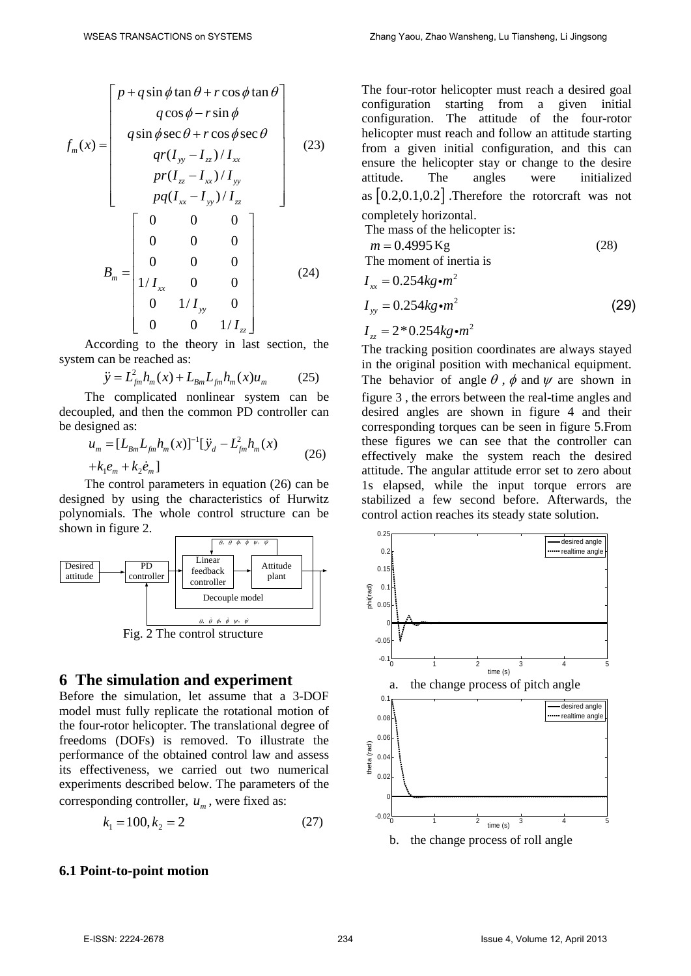$$
f_m(x) = \begin{bmatrix} p + q \sin \phi \tan \theta + r \cos \phi \tan \theta \\ q \cos \phi - r \sin \phi \\ q \sin \phi \sec \theta + r \cos \phi \sec \theta \\ qr(I_{yy} - I_{zz}) / I_{xx} \\ pr(I_{zz} - I_{xx}) / I_{yy} \\ pq(I_{xx} - I_{yy}) / I_{zz} \end{bmatrix}
$$
(23)  

$$
B_m = \begin{bmatrix} 0 & 0 & 0 \\ 0 & 0 & 0 \\ 0 & 0 & 0 \\ 1 / I_{xx} & 0 & 0 \\ 0 & 1 / I_{yy} & 0 \\ 0 & 0 & 1 / I_{zz} \end{bmatrix}
$$
(24)

According to the theory in last section, the system can be reached as:

$$
\ddot{y} = L_{fm}^2 h_m(x) + L_{Bm} L_{fm} h_m(x) u_m \tag{25}
$$

The complicated nonlinear system can be decoupled, and then the common PD controller can be designed as:

$$
u_m = [L_{Bm}L_{fm}h_m(x)]^{-1}[\ddot{y}_d - L_{fm}^2h_m(x) + k_1 e_m + k_2 \dot{e}_m]
$$
 (26)

The control parameters in equation (26) can be designed by using the characteristics of Hurwitz polynomials. The whole control structure can be shown in figure 2.



Fig. 2 The control structure

### **6 The simulation and experiment**

Before the simulation, let assume that a 3-DOF model must fully replicate the rotational motion of the four-rotor helicopter. The translational degree of freedoms (DOFs) is removed. To illustrate the performance of the obtained control law and assess its effectiveness, we carried out two numerical experiments described below. The parameters of the corresponding controller,  $u_m$ , were fixed as:

$$
k_1 = 100, k_2 = 2 \tag{27}
$$

### **6.1 Point-to-point motion**

The four-rotor helicopter must reach a desired goal configuration starting from a given initial configuration. The attitude of the four-rotor helicopter must reach and follow an attitude starting from a given initial configuration, and this can ensure the helicopter stay or change to the desire attitude. The angles were initialized as  $[0.2, 0.1, 0.2]$ . Therefore the rotorcraft was not completely horizontal.

The mass of the helicopter is:

$$
m = 0.4995 \text{ Kg}
$$
 (28)  
The moment of inertia is

$$
I_{xx} = 0.254kg \cdot m^{2}
$$
  
\n
$$
I_{yy} = 0.254kg \cdot m^{2}
$$
  
\n
$$
I_{zz} = 2 * 0.254kg \cdot m^{2}
$$
\n(29)

The tracking position coordinates are always stayed in the original position with mechanical equipment. The behavior of angle  $\theta$ ,  $\phi$  and  $\psi$  are shown in figure 3 , the errors between the real-time angles and desired angles are shown in figure 4 and their corresponding torques can be seen in figure 5.From these figures we can see that the controller can effectively make the system reach the desired attitude. The angular attitude error set to zero about 1s elapsed, while the input torque errors are stabilized a few second before. Afterwards, the control action reaches its steady state solution.

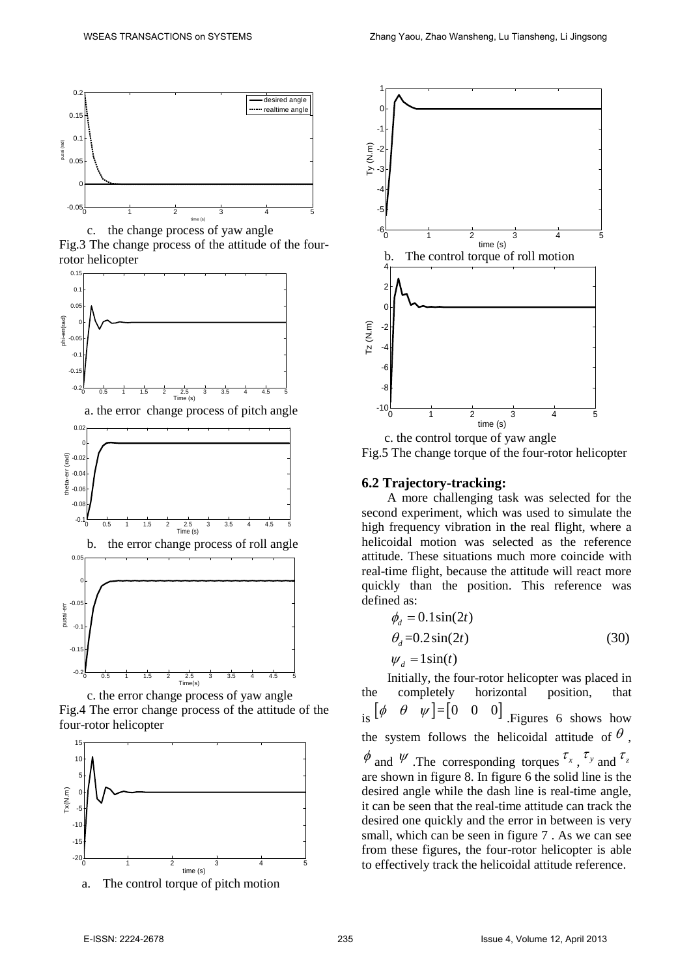

c. the change process of yaw angle Fig.3 The change process of the attitude of the four-



c. the error change process of yaw angle Fig.4 The error change process of the attitude of the four-rotor helicopter



a. The control torque of pitch motion





## Fig.5 The change torque of the four-rotor helicopter

#### **6.2 Trajectory-tracking:**

A more challenging task was selected for the second experiment, which was used to simulate the high frequency vibration in the real flight, where a helicoidal motion was selected as the reference attitude. These situations much more coincide with real-time flight, because the attitude will react more quickly than the position. This reference was defined as:

$$
\phi_d = 0.1 \sin(2t)
$$
  
\n
$$
\theta_d = 0.2 \sin(2t)
$$
  
\n
$$
\psi_d = 1 \sin(t)
$$
\n(30)

Initially, the four-rotor helicopter was placed in the completely horizontal position, that is  $\begin{bmatrix} \phi & \theta & \psi \end{bmatrix} = \begin{bmatrix} 0 & 0 & 0 \end{bmatrix}$  . Figures 6 shows how the system follows the helicoidal attitude of  $\theta$ ,  $\phi$  and  $\psi$  .The corresponding torques  $\tau_x$ ,  $\tau_y$  and  $\tau_z$ are shown in figure 8. In figure 6 the solid line is the desired angle while the dash line is real-time angle, it can be seen that the real-time attitude can track the desired one quickly and the error in between is very small, which can be seen in figure 7 . As we can see from these figures, the four-rotor helicopter is able to effectively track the helicoidal attitude reference.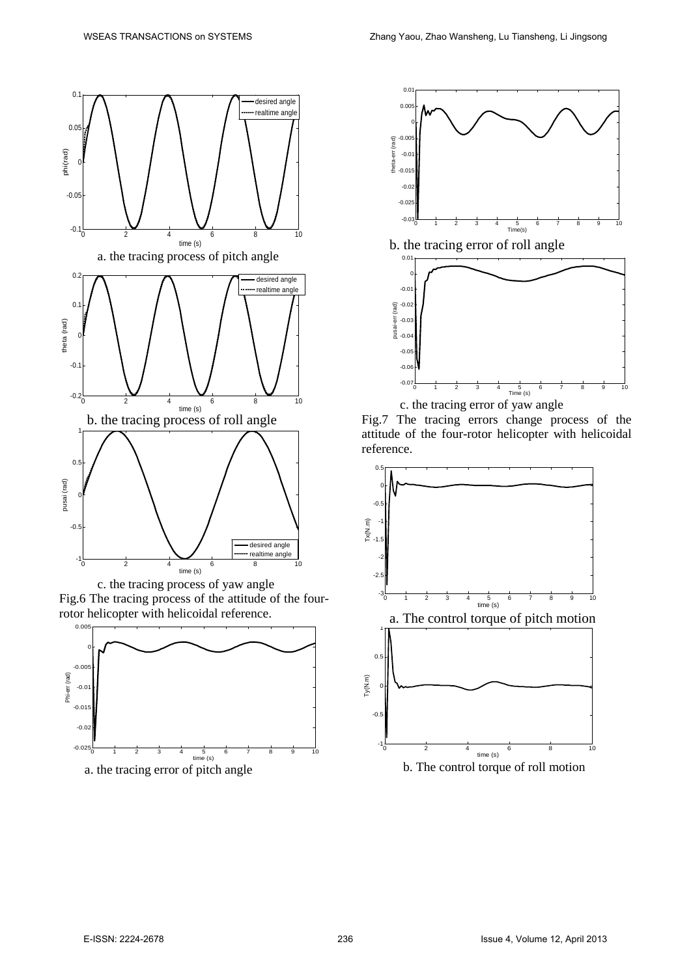

Fig.6 The tracing process of the attitude of the fourrotor helicopter with helicoidal reference.







c. the tracing error of yaw angle

Fig.7 The tracing errors change process of the attitude of the four-rotor helicopter with helicoidal reference.

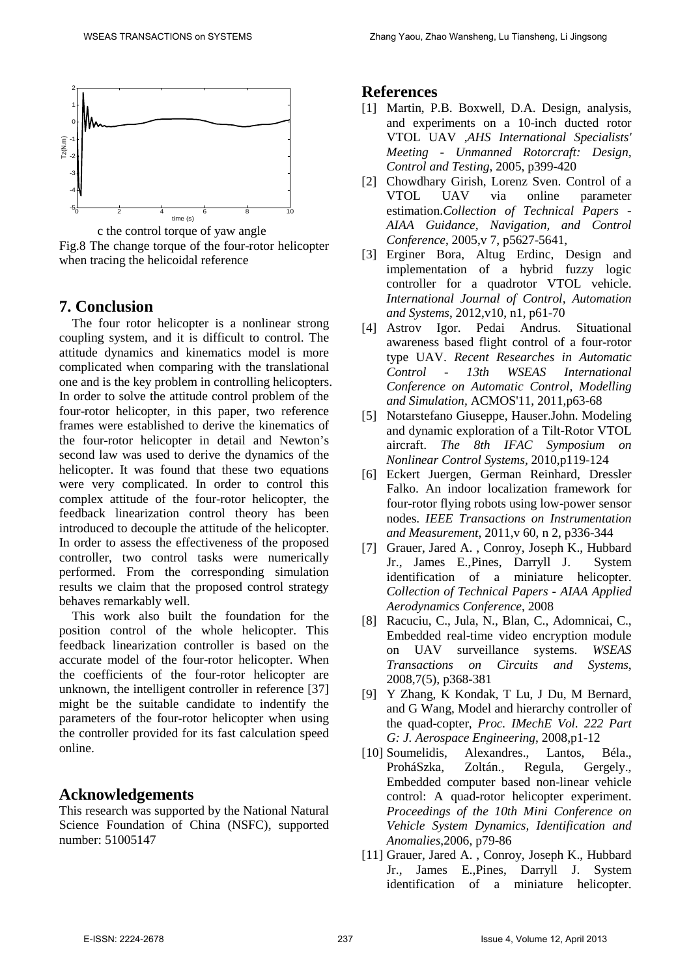

c the control torque of yaw angle Fig.8 The change torque of the four-rotor helicopter when tracing the helicoidal reference

### **7. Conclusion**

The four rotor helicopter is a nonlinear strong coupling system, and it is difficult to control. The attitude dynamics and kinematics model is more complicated when comparing with the translational one and is the key problem in controlling helicopters. In order to solve the attitude control problem of the four-rotor helicopter, in this paper, two reference frames were established to derive the kinematics of the four-rotor helicopter in detail and Newton's second law was used to derive the dynamics of the helicopter. It was found that these two equations were very complicated. In order to control this complex attitude of the four-rotor helicopter, the feedback linearization control theory has been introduced to decouple the attitude of the helicopter. In order to assess the effectiveness of the proposed controller, two control tasks were numerically performed. From the corresponding simulation results we claim that the proposed control strategy behaves remarkably well.

This work also built the foundation for the position control of the whole helicopter. This feedback linearization controller is based on the accurate model of the four-rotor helicopter. When the coefficients of the four-rotor helicopter are unknown, the intelligent controller in reference [37] might be the suitable candidate to indentify the parameters of the four-rotor helicopter when using the controller provided for its fast calculation speed online.

## **Acknowledgements**

This research was supported by the National Natural Science Foundation of China (NSFC), supported number: 51005147

### **References**

- [1] Martin, P.B. Boxwell, D.A. Design, analysis, and experiments on a 10-inch ducted rotor VTOL UAV ,*AHS International Specialists' Meeting - Unmanned Rotorcraft: Design, Control and Testing*, 2005, p399-420
- [2] Chowdhary Girish, Lorenz Sven. Control of a VTOL UAV via online parameter estimation.*Collection of Technical Papers - AIAA Guidance, Navigation, and Control Conference*, 2005,v 7, p5627-5641,
- [3] Erginer Bora, Altug Erdinc, Design and implementation of a hybrid fuzzy logic controller for a quadrotor VTOL vehicle. *International Journal of Control, Automation and Systems*, 2012,v10, n1, p61-70
- [4] Astrov Igor. Pedai Andrus. Situational awareness based flight control of a four-rotor type UAV. *Recent Researches in Automatic Control - 13th WSEAS International Conference on Automatic Control, Modelling and Simulation,* ACMOS'11, 2011,p63-68
- [5] Notarstefano Giuseppe, Hauser.John. Modeling and dynamic exploration of a Tilt-Rotor VTOL aircraft. *The 8th IFAC Symposium on Nonlinear Control Systems,* 2010,p119-124
- [6] Eckert Juergen, German Reinhard, Dressler Falko. An indoor localization framework for four-rotor flying robots using low-power sensor nodes. *IEEE Transactions on Instrumentation and Measurement*, 2011,v 60, n 2, p336-344
- [7] Grauer, Jared A. , Conroy, Joseph K., Hubbard Jr., James E.,Pines, Darryll J. System identification of a miniature helicopter. *Collection of Technical Papers - AIAA Applied Aerodynamics Conference*, 2008
- [8] Racuciu, C., Jula, N., Blan, C., Adomnicai, C., Embedded real-time video encryption module on UAV surveillance systems. *WSEAS Transactions on Circuits and Systems*, 2008,7(5), p368-381
- [9] Y Zhang, K Kondak, T Lu, J Du, M Bernard, and G Wang, Model and hierarchy controller of the quad-copter, *Proc. IMechE Vol. 222 Part G: J. Aerospace Engineering*, 2008,p1-12
- [10] Soumelidis, Alexandres., Lantos, Béla., ProháSzka, Zoltán., Regula, Gergely., Embedded computer based non-linear vehicle control: A quad-rotor helicopter experiment. *Proceedings of the 10th Mini Conference on Vehicle System Dynamics, Identification and Anomalies*,2006, p79-86
- [11] Grauer, Jared A. , Conroy, Joseph K., Hubbard Jr., James E.,Pines, Darryll J. System identification of a miniature helicopter.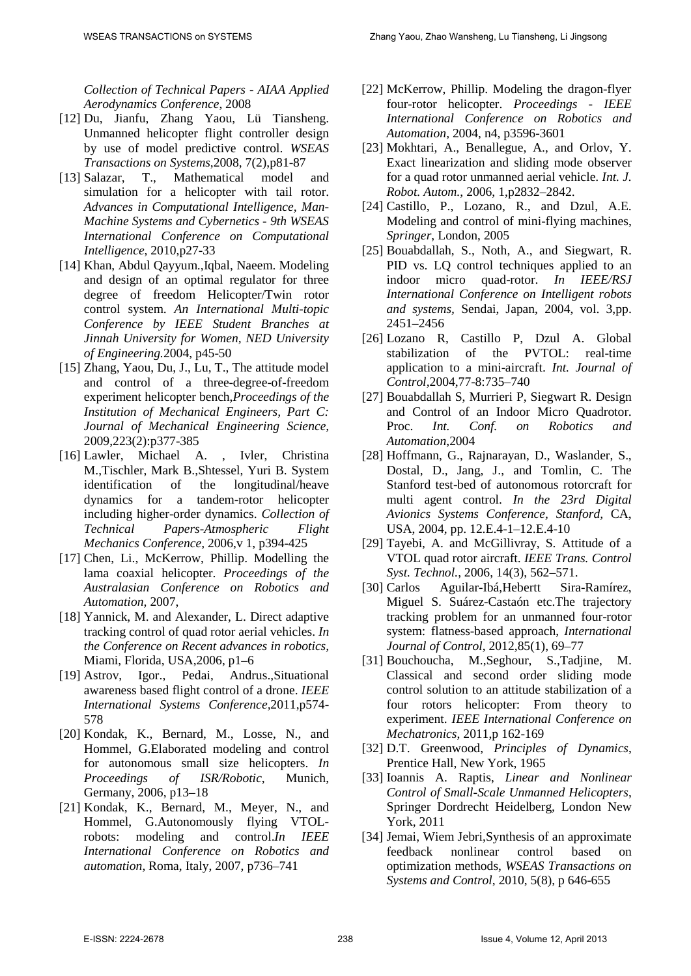*Collection of Technical Papers - AIAA Applied Aerodynamics Conference*, 2008

- [12] Du, Jianfu, Zhang Yaou, Lü Tiansheng. Unmanned helicopter flight controller design by use of model predictive control. *WSEAS Transactions on Systems*,2008, 7(2),p81-87
- [13] Salazar, T., Mathematical model and simulation for a helicopter with tail rotor. *Advances in Computational Intelligence, Man-Machine Systems and Cybernetics - 9th WSEAS International Conference on Computational Intelligence*, 2010,p27-33
- [14] Khan, Abdul Qayyum.,Iqbal, Naeem. Modeling and design of an optimal regulator for three degree of freedom Helicopter/Twin rotor control system. *An International Multi-topic Conference by IEEE Student Branches at Jinnah University for Women, NED University of Engineering.*2004, p45-50
- [15] Zhang, Yaou, Du, J., Lu, T., The attitude model and control of a three-degree-of-freedom experiment helicopter bench,*Proceedings of the Institution of Mechanical Engineers, Part C: Journal of Mechanical Engineering Science,* 2009,223(2):p377-385
- [16] Lawler, Michael A. , Ivler, Christina M.,Tischler, Mark B.,Shtessel, Yuri B. System identification of the longitudinal/heave dynamics for a tandem-rotor helicopter including higher-order dynamics. *Collection of Technical Papers-Atmospheric Flight Mechanics Conference,* 2006,v 1, p394-425
- [17] Chen, Li., McKerrow, Phillip. Modelling the lama coaxial helicopter. *Proceedings of the Australasian Conference on Robotics and Automation,* 2007,
- [18] Yannick, M. and Alexander, L. Direct adaptive tracking control of quad rotor aerial vehicles. *In the Conference on Recent advances in robotics,* Miami, Florida, USA,2006, p1–6
- [19] Astrov, Igor., Pedai, Andrus.,Situational awareness based flight control of a drone. *IEEE International Systems Conference,*2011,p574- 578
- [20] Kondak, K., Bernard, M., Losse, N., and Hommel, G.Elaborated modeling and control for autonomous small size helicopters. *In Proceedings of ISR/Robotic*, Munich, Germany, 2006, p13–18
- [21] Kondak, K., Bernard, M., Meyer, N., and Hommel, G.Autonomously flying VTOLrobots: modeling and control.*In IEEE International Conference on Robotics and automation*, Roma, Italy, 2007, p736–741
- [22] McKerrow, Phillip. Modeling the dragon-flyer four-rotor helicopter. *Proceedings - IEEE International Conference on Robotics and Automation,* 2004, n4, p3596-3601
- [23] Mokhtari, A., Benallegue, A., and Orlov, Y. Exact linearization and sliding mode observer for a quad rotor unmanned aerial vehicle. *Int. J. Robot. Autom.*, 2006, 1,p2832–2842.
- [24] Castillo, P., Lozano, R., and Dzul, A.E. Modeling and control of mini-flying machines, *Springer*, London, 2005
- [25] Bouabdallah, S., Noth, A., and Siegwart, R. PID vs. LQ control techniques applied to an indoor micro quad-rotor. *In IEEE/RSJ International Conference on Intelligent robots and systems,* Sendai, Japan, 2004, vol. 3,pp. 2451–2456
- [26] Lozano R, Castillo P, Dzul A. Global stabilization of the PVTOL: real-time application to a mini-aircraft. *Int. Journal of Control,*2004,77-8:735–740
- [27] Bouabdallah S, Murrieri P, Siegwart R. Design and Control of an Indoor Micro Quadrotor. Proc. *Int. Conf. on Robotics and Automation*,2004
- [28] Hoffmann, G., Rajnarayan, D., Waslander, S., Dostal, D., Jang, J., and Tomlin, C. The Stanford test-bed of autonomous rotorcraft for multi agent control. *In the 23rd Digital Avionics Systems Conference, Stanford,* CA, USA, 2004, pp. 12.E.4-1–12.E.4-10
- [29] Tayebi, A. and McGillivray, S. Attitude of a VTOL quad rotor aircraft. *IEEE Trans. Control Syst. Technol.*, 2006, 14(3), 562–571.
- [30] Carlos Aguilar-Ibá,Hebertt Sira-Ramírez, Miguel S. Suárez-Castaón etc.The trajectory tracking problem for an unmanned four-rotor system: flatness-based approach, *International Journal of Control*, 2012,85(1), 69–77
- [31] Bouchoucha, M.,Seghour, S.,Tadjine, M. Classical and second order sliding mode control solution to an attitude stabilization of a four rotors helicopter: From theory to experiment. *IEEE International Conference on Mechatronics*, 2011,p 162-169
- [32] D.T. Greenwood, *Principles of Dynamics*, Prentice Hall, New York, 1965
- [33] Ioannis A. Raptis, *Linear and Nonlinear Control of Small-Scale Unmanned Helicopters*, Springer Dordrecht Heidelberg*,* London New York, 2011
- [34] Jemai, Wiem Jebri,Synthesis of an approximate feedback nonlinear control based on optimization methods, *WSEAS Transactions on Systems and Control*, 2010, 5(8), p 646-655